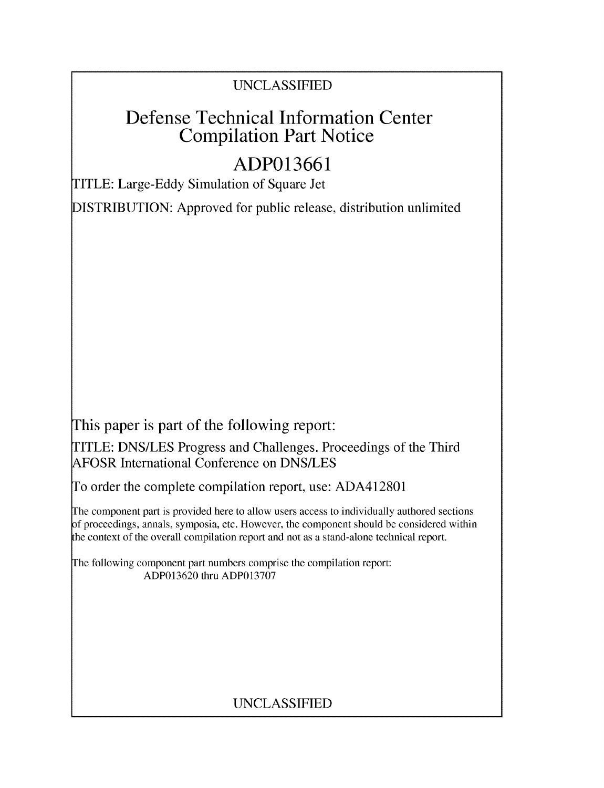## UNCLASSIFIED

# Defense Technical Information Center Compilation Part Notice

# **ADP013661**

TITLE: Large-Eddy Simulation of Square Jet

DISTRIBUTION: Approved for public release, distribution unlimited

This paper is part of the following report:

TITLE: DNS/LES Progress and Challenges. Proceedings of the Third AFOSR International Conference on DNS/LES

To order the complete compilation report, use: ADA412801

The component part is provided here to allow users access to individually authored sections f proceedings, annals, symposia, etc. However, the component should be considered within the context of the overall compilation report and not as a stand-alone technical report.

The following component part numbers comprise the compilation report: ADP013620 thru ADP013707

# UNCLASSIFIED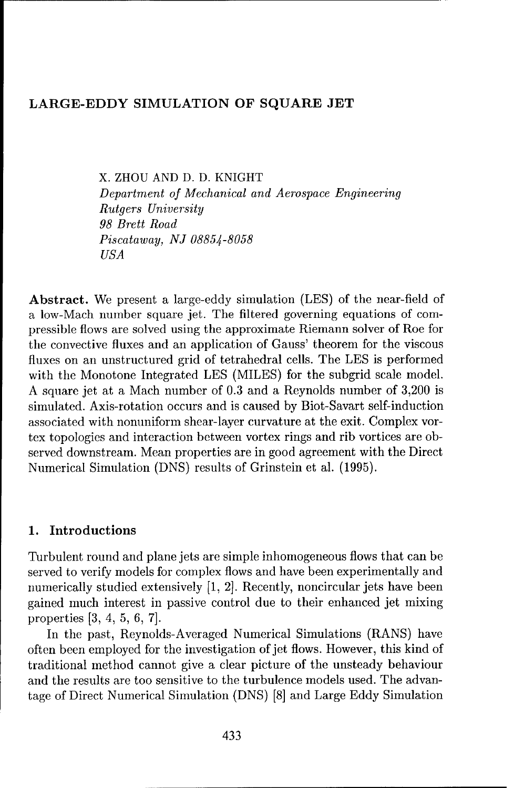### LARGE-EDDY SIMULATION OF **SQUARE JET**

X. ZHOU AND D. D. KNIGHT Department *of Mechanical and Aerospace* Engineering *Rutgers University 98 Brett Road Piscataway, NJ 08854-8058 USA*

Abstract. We present a large-eddy simulation (LES) of the near-field of a low-Mach number square jet. The filtered governing equations of compressible flows are solved using the approximate Riemann solver of Roe for the convective fluxes and an application of Gauss' theorem for the viscous fluxes on an unstructured grid of tetrahedral cells. The LES is performed with the Monotone Integrated LES (MILES) for the subgrid scale model. A square jet at a Mach number of 0.3 and a Reynolds number of 3,200 is simulated. Axis-rotation occurs and is caused by Biot-Savart self-induction associated with nonuniform shear-layer curvature at the exit. Complex vortex topologies and interaction between vortex rings and rib vortices are observed downstream. Mean properties are in good agreement with the Direct Numerical Simulation (DNS) results of Grinstein et al. (1995).

## 1. Introductions

Turbulent round and plane jets are simple inhomogeneous flows that can be served to verify models for complex flows and have been experimentally and numerically studied extensively [1, 2]. Recently, noncircular jets have been gained much interest in passive control due to their enhanced jet mixing properties **[3,** 4, 5, 6, 7].

In the past, Reynolds-Averaged Numerical Simulations (RANS) have often been employed for the investigation of jet flows. However, this kind of traditional method cannot give a clear picture of the unsteady behaviour and the results are too sensitive to the turbulence models used. The advantage of Direct Numerical Simulation (DNS) [8] and Large Eddy Simulation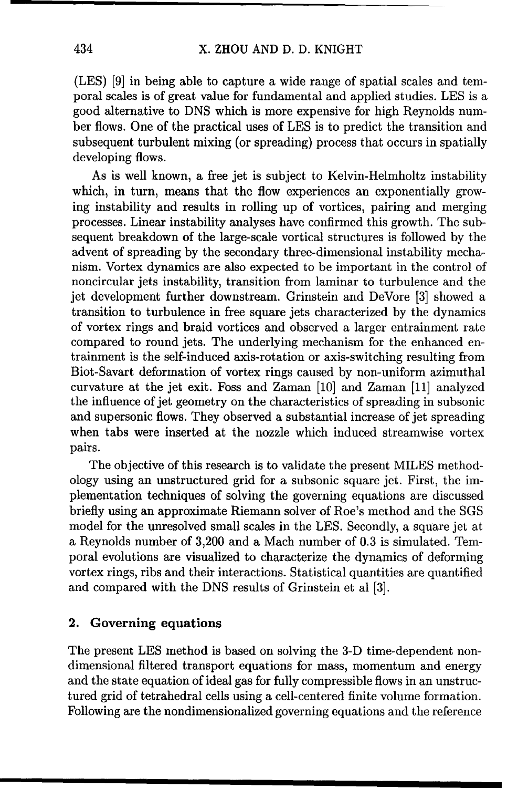(LES) [9] in being able to capture a wide range of spatial scales and temporal scales is of great value for fundamental and applied studies. LES is a good alternative to DNS which is more expensive for high Reynolds number flows. One of the practical uses of LES is to predict the transition and subsequent turbulent mixing (or spreading) process that occurs in spatially developing flows.

As is well known, a free jet is subject to Kelvin-Helmholtz instability which, in turn, means that the flow experiences an exponentially growing instability and results in rolling up of vortices, pairing and merging processes. Linear instability analyses have confirmed this growth. The subsequent breakdown of the large-scale vortical structures is followed by the advent of spreading by the secondary three-dimensional instability mechanism. Vortex dynamics are also expected to be important in the control of noncircular jets instability, transition from laminar to turbulence and the jet development further downstream. Grinstein and DeVore [3] showed a transition to turbulence in free square jets characterized by the dynamics of vortex rings and braid vortices and observed a larger entrainment rate compared to round jets. The underlying mechanism for the enhanced entrainment is the self-induced axis-rotation or axis-switching resulting from Biot-Savart deformation of vortex rings caused by non-uniform azimuthal curvature at the jet exit. Foss and Zaman [10] and Zaman [11] analyzed the influence of jet geometry on the characteristics of spreading in subsonic and supersonic flows. They observed a substantial increase of jet spreading when tabs were inserted at the nozzle which induced streamwise vortex pairs.

The objective of this research is to validate the present MILES methodology using an unstructured grid for a subsonic square jet. First, the implementation techniques of solving the governing equations are discussed briefly using an approximate Riemann solver of Roe's method and the SGS model for the unresolved small scales in the LES. Secondly, a square jet at a Reynolds number of 3,200 and a Mach number of 0.3 is simulated. Temporal evolutions are visualized to characterize the dynamics of deforming vortex rings, ribs and their interactions. Statistical quantities are quantified and compared with the DNS results of Grinstein et al [3].

## 2. Governing equations

The present LES method is based on solving the 3-D time-dependent nondimensional filtered transport equations for mass, momentum and energy and the state equation of ideal gas for fully compressible flows in an unstructured grid of tetrahedral cells using a cell-centered finite volume formation. Following are the nondimensionalized governing equations and the reference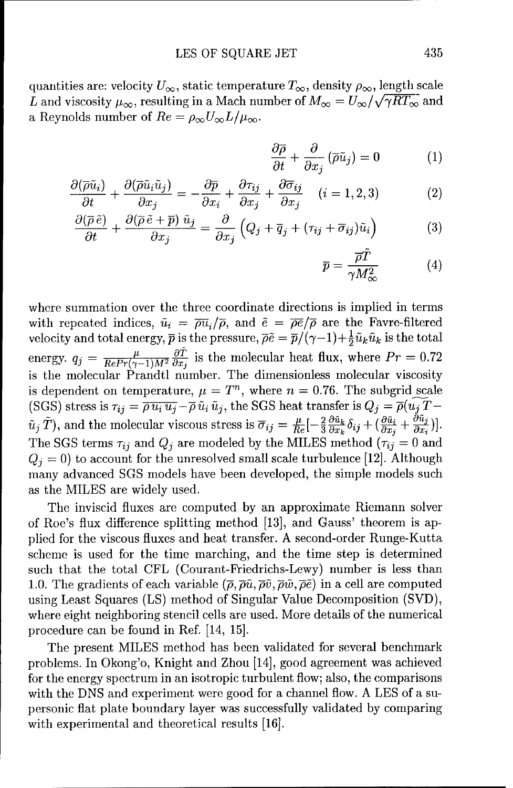quantities are: velocity  $U_{\infty}$ , static temperature  $T_{\infty}$ , density  $\rho_{\infty}$ , length scale L and viscosity  $\mu_{\infty}$ , resulting in a Mach number of  $M_{\infty} = U_{\infty}/\sqrt{\gamma RT_{\infty}}$  and a Reynolds number of  $Re = \rho_{\infty}U_{\infty}L/\mu_{\infty}$ .

$$
\frac{\partial \overline{\rho}}{\partial t} + \frac{\partial}{\partial x_j} (\overline{\rho}\tilde{u}_j) = 0 \tag{1}
$$

$$
\frac{\partial(\overline{\rho}\tilde{u}_i)}{\partial t} + \frac{\partial(\overline{\rho}\tilde{u}_i\tilde{u}_j)}{\partial x_j} = -\frac{\partial\overline{p}}{\partial x_i} + \frac{\partial\tau_{ij}}{\partial x_j} + \frac{\partial\overline{\sigma}_{ij}}{\partial x_j} \quad (i = 1, 2, 3)
$$
 (2)

$$
\frac{\partial(\overline{\rho}\,\tilde{e})}{\partial t} + \frac{\partial(\overline{\rho}\,\tilde{e} + \overline{p})\,\tilde{u}_j}{\partial x_j} = \frac{\partial}{\partial x_j} \left( Q_j + \overline{q}_j + (\tau_{ij} + \overline{\sigma}_{ij})\tilde{u}_i \right) \tag{3}
$$

$$
\overline{p} = \frac{\overline{\rho}T}{\gamma M_{\infty}^2} \tag{4}
$$

where summation over the three coordinate directions is implied in terms with repeated indices,  $\tilde{u}_i = \overline{\rho u}_i/\overline{\rho}$ , and  $\tilde{e} = \overline{\rho e}/\overline{\rho}$  are the Favre-filtered velocity and total energy,  $\bar{p}$  is the pressure,  $\bar{\rho}\tilde{e} = \bar{p}/(\gamma-1)+\frac{1}{2}\tilde{u}_k\tilde{u}_k$  is the total energy.  $q_i = \frac{\mu}{Re Pr(\alpha-1)M^2} \frac{\partial \tilde{T}}{\partial r_i}$  is the molecular heat flux, where  $Pr = 0.72$ is the molecular Prandtl number. The dimensionless molecular viscosity is dependent on temperature,  $\mu = T^n$ , where  $n = 0.76$ . The subgrid scale (SGS) stress is  $\tau_{ij} = \overline{\rho u_i u_j} - \overline{\rho} \tilde{u}_i \tilde{u}_j$ , the SGS heat transfer is  $Q_j = \overline{\rho} (u_j \overline{T} \tilde{u}_j(\tilde{T})$ , and the molecular viscous stress is  $\overline{\sigma}_{ij} = \frac{\mu}{Re}[-\frac{2}{3}\frac{\partial \tilde{u}_k}{\partial x_k}\delta_{ij} + (\frac{\partial \tilde{u}_i}{\partial x_j} + \frac{\partial \tilde{u}_j}{\partial x_i})].$ The SGS terms  $\tau_{ij}$  and  $Q_j$  are modeled by the MILES method  $(\tau_{ij} = 0$  and  $Q_j = 0$ ) to account for the unresolved small scale turbulence [12]. Although many advanced SGS models have been developed, the simple models such as the MILES are widely used.

The inviscid fluxes are computed by an approximate Riemann solver of Roe's flux difference splitting method [13], and Gauss' theorem is applied for the viscous fluxes and heat transfer. A second-order Runge-Kutta scheme is used for the time marching, and the time step is determined such that the total CFL (Courant-Friedrichs-Lewy) number is less than 1.0. The gradients of each variable  $(\bar{\rho}, \bar{\rho}\tilde{u}, \bar{\rho}\tilde{v}, \bar{\rho}\tilde{w}, \bar{\rho}\tilde{e})$  in a cell are computed using Least Squares (LS) method of Singular Value Decomposition (SVD), where eight neighboring stencil cells are used. More details of the numerical procedure can be found in Ref. [14, 15].

The present MILES method has been validated for several benchmark problems. In Okong'o, Knight and Zhou [14], good agreement was achieved for the energy spectrum in an isotropic turbulent flow; also, the comparisons with the DNS and experiment were good for a channel flow. A LES of a supersonic flat plate boundary layer was successfully validated by comparing with experimental and theoretical results **[16].**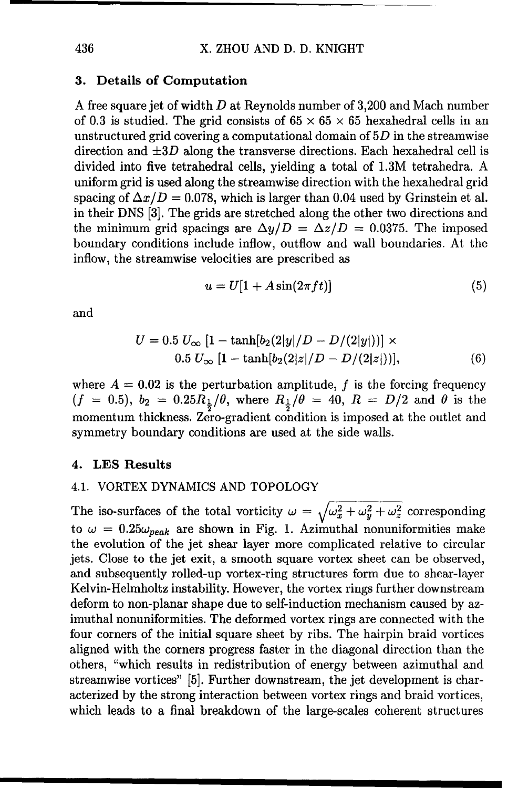#### **3.** Details of Computation

**A** free square jet of width D at Reynolds number of 3,200 and Mach number of 0.3 is studied. The grid consists of  $65 \times 65 \times 65$  hexahedral cells in an unstructured grid covering a computational domain of **5D** in the streamwise direction and **±3D** along the transverse directions. Each hexahedral cell is divided into five tetrahedral cells, yielding a total of 1.3M tetrahedra. A uniform grid is used along the streamwise direction with the hexahedral grid spacing of  $\Delta x/D = 0.078$ , which is larger than 0.04 used by Grinstein et al. in their DNS [3]. The grids are stretched along the other two directions and the minimum grid spacings are  $\Delta y/D = \Delta z/D = 0.0375$ . The imposed boundary conditions include inflow, outflow and wall boundaries. At the inflow, the streamwise velocities are prescribed as

$$
u = U[1 + A\sin(2\pi ft)]\tag{5}
$$

and

$$
U = 0.5 U_{\infty} [1 - \tanh[b_2(2|y|/D - D/(2|y|))] \times 0.5 U_{\infty} [1 - \tanh[b_2(2|z|/D - D/(2|z|))], \tag{6}
$$

where  $A = 0.02$  is the perturbation amplitude, f is the forcing frequency  $(f = 0.5)$ ,  $b_2 = 0.25R_{\frac{1}{2}}/\theta$ , where  $R_{\frac{1}{2}}/\theta = 40$ ,  $R = D/2$  and  $\theta$  is the momentum thickness. Zero-gradient condition is imposed at the outlet and symmetry boundary conditions are used at the side walls.

#### 4. LES Results

#### 4.1. VORTEX DYNAMICS AND TOPOLOGY

The iso-surfaces of the total vorticity  $\omega = \sqrt{\omega_x^2 + \omega_y^2 + \omega_z^2}$  corresponding to  $\omega = 0.25\omega_{peak}$  are shown in Fig. 1. Azimuthal nonuniformities make the evolution of the jet shear layer more complicated relative to circular jets. Close to the jet exit, a smooth square vortex sheet can be observed, and subsequently rolled-up vortex-ring structures form due to shear-layer Kelvin-Helmholtz instability. However, the vortex rings further downstream deform to non-planar shape due to self-induction mechanism caused by azimuthal nonuniformities. The deformed vortex rings are connected with the four corners of the initial square sheet by ribs. The hairpin braid vortices aligned with the corners progress faster in the diagonal direction than the others, "which results in redistribution of energy between azimuthal and streamwise vortices" [5]. Further downstream, the jet development is characterized by the strong interaction between vortex rings and braid vortices, which leads to a final breakdown of the large-scales coherent structures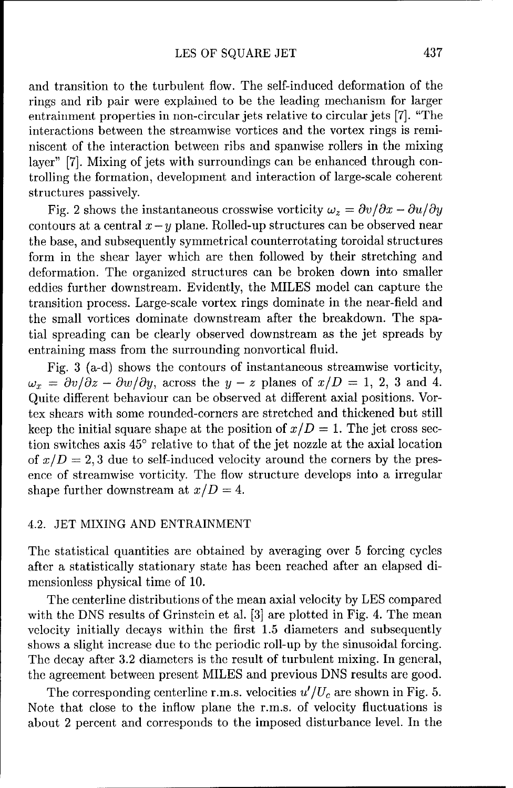and transition to the turbulent flow. The self-induced deformation of the rings and rib pair were explained to be the leading mechanism for larger entrainment properties in non-circular jets relative to circular jets [7]. "The interactions between the streamwise vortices and the vortex rings is reminiscent of the interaction between ribs and spanwise rollers in the mixing layer" [7]. Mixing of jets with surroundings can be enhanced through controlling the formation, development and interaction of large-scale coherent structures passively.

Fig. 2 shows the instantaneous crosswise vorticity  $\omega_z = \frac{\partial v}{\partial x} - \frac{\partial u}{\partial y}$ contours at a central  $x - y$  plane. Rolled-up structures can be observed near the base, and subsequently symmetrical counterrotating toroidal structures form in the shear layer which are then followed by their stretching and deformation. The organized structures can be broken down into smaller eddies further downstream. Evidently, the MILES model can capture the transition process. Large-scale vortex rings dominate in the near-field and the small vortices dominate downstream after the breakdown. The spatial spreading can be clearly observed downstream as the jet spreads by entraining mass from the surrounding nonvortical fluid.

Fig. 3 (a-d) shows the contours of instantaneous streamwise vorticity,  $\omega_x = \frac{\partial v}{\partial z} - \frac{\partial w}{\partial y}$ , across the  $y - z$  planes of  $x/D = 1, 2, 3$  and 4. Quite different behaviour can be observed at different axial positions. Vortex shears with some rounded-corners are stretched and thickened but still keep the initial square shape at the position of  $x/D = 1$ . The jet cross section switches axis **450** relative to that of the jet nozzle at the axial location of  $x/D = 2, 3$  due to self-induced velocity around the corners by the presence of streamwise vorticity. The flow structure develops into a irregular shape further downstream at  $x/D = 4$ .

#### 4.2. JET MIXING AND ENTRAINMENT

The statistical quantities are obtained by averaging over 5 forcing cycles after a statistically stationary state has been reached after an elapsed dimensionless physical time of 10.

The centerline distributions of the mean axial velocity by LES compared with the DNS results of Grinstein et al. [3] are plotted in Fig. 4. The mean velocity initially decays within the first 1.5 diameters and subsequently shows a slight increase due to the periodic roll-up by the sinusoidal forcing. The decay after 3.2 diameters is the result of turbulent mixing. In general, the agreement between present MILES and previous DNS results are good.

The corresponding centerline r.m.s. velocities  $u'/U_c$  are shown in Fig. 5. Note that close to the inflow plane the r.m.s. of velocity fluctuations is about 2 percent and corresponds to the imposed disturbance level. In the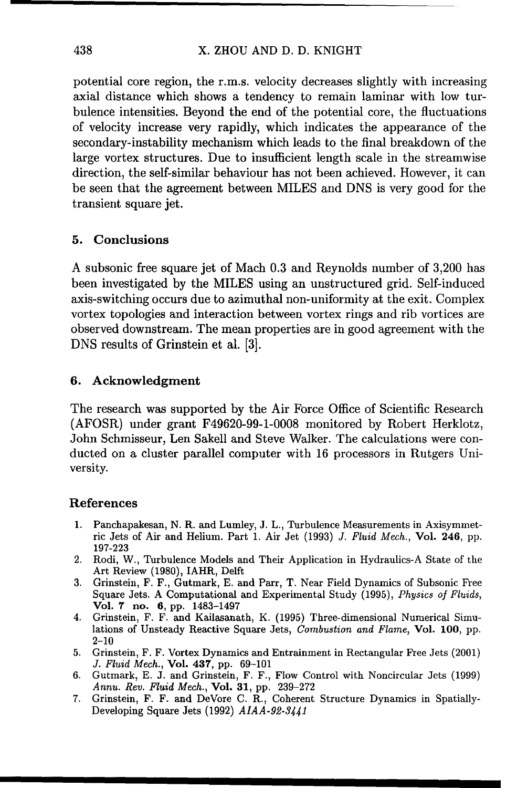potential core region, the r.m.s. velocity decreases slightly with increasing axial distance which shows a tendency to remain laminar with low turbulence intensities. Beyond the end of the potential core, the fluctuations of velocity increase very rapidly, which indicates the appearance of the secondary-instability mechanism which leads to the final breakdown of the large vortex structures. Due to insufficient length scale in the streamwise direction, the self-similar behaviour has not been achieved. However, it can be seen that the agreement between MILES and DNS is very good for the transient square jet.

### 5. Conclusions

A subsonic free square jet of Mach 0.3 and Reynolds number of 3,200 has been investigated by the MILES using an unstructured grid. Self-induced axis-switching occurs due to azimuthal non-uniformity at the exit. Complex vortex topologies and interaction between vortex rings and rib vortices are observed downstream. The mean properties are in good agreement with the DNS results of Grinstein et al. [3].

#### 6. Acknowledgment

The research was supported by the Air Force Office of Scientific Research (AFOSR) under grant F49620-99-1-0008 monitored by Robert Herklotz, John Schmisseur, Len Sakell and Steve Walker. The calculations were conducted on a cluster parallel computer with 16 processors in Rutgers University.

#### References

- 1. Panchapakesan, N. R. and Lumley, J. L., Turbulence Measurements in Axisymmetnic Jets of Air and Helium. Part 1. Air Jet (1993) J. *Fluid* Mech., Vol. 246, pp. 197-223
- 2. Rodi, W., Turbulence Models and Their Application in Hydraulics-A State of the Art Review (1980), IAHR, Delft
- 3. Grinstein, F. F., Gutmark, E. and Parr, T. Near Field Dynamics of Subsonic Free Square Jets. A Computational and Experimental Study (1995), *Physics of* Fluids, Vol. **7** no. 6, pp. 1483-1497
- 4. Grinstein, F. F. and Kailasanath, K. (1995) Three-dimensional Numerical Simulations of Unsteady Reactive Square Jets, Combustion and Flame, Vol. 100, pp.  $2 - 10$
- 5. Grinstein, F. F. Vortex Dynamics and Entrainment in Rectangular Free Jets (2001) *J. Fluid Mech.,* Vol. 437, pp. 69-101
- 6. Gutmark, E. J. and Grinstein, F. F., Flow Control with Noncircular Jets (1999) Annu. Rev. Fluid Mech., Vol. **31,** pp. 239-272
- 7. Grinstein, F. F. and DeVore C. R., Coherent Structure Dynamics in Spatially-Developing Square Jets (1992) *AIAA-92-3441*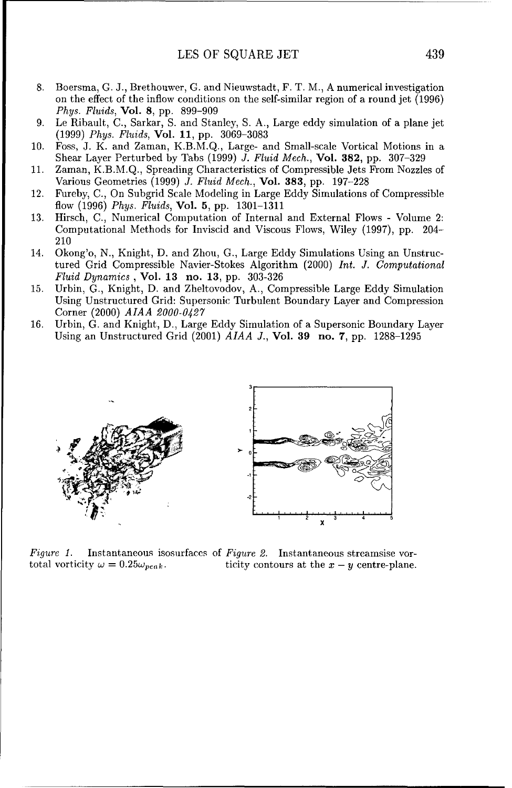- 8. Boersma, G. J., Brethouwer, G. and Nieuwstadt, F. T. M., A numerical investigation on the effect of the inflow conditions on the self-similar region of a round jet (1996) *Phys. Fluids,* Vol. 8, pp. 899-909
- 9. Le Ribault, C., Sarkar, S. and Stanley, S. A., Large eddy simulation of a plane jet (1999) *Phys. Fluids,* Vol. **11,** pp. 3069-3083
- 10. Foss, J. K. and Zaman, K.B.M.Q., Large- and Small-scale Vortical Motions in a Shear Layer Perturbed by Tabs (1999) J. *Fluid* Mech., Vol. **382,** pp. 307-329
- 11. Zaman, K.B.M.Q., Spreading Characteristics of Compressible Jets From Nozzles of Various Geometries (1999) *J. Fluid Mech.,* Vol. 383, pp. 197-228
- 12. Fureby, C., On Subgrid Scale Modeling in Large Eddy Simulations of Compressible flow (1996) *Phys. Fluids,* Vol. **5,** pp. 1301-1311
- 13. Hirsch, C., Numerical Computation of Internal and External Flows Volume 2: Computational Methods for Inviscid and Viscous Flows, Wiley (1997), pp. 204- 210
- 14. Okong'o, N., Knight, D. and Zhou, G., Large Eddy Simulations Using an Unstructured Grid Compressible Navier-Stokes Algorithm (2000) Int. J. Computational Fluid Dynamics **,** Vol. **13** no. **13,** pp. 303-326
- 15. Urbin, G., Knight, D. and Zheltovodov, A., Compressible Large Eddy Simulation Using Unstructured Grid: Supersonic Turbulent Boundary Layer and Compression Corner (2000) *AIAA 2000-0427*
- 16. Urbin, G. and Knight, D., Large Eddy Simulation of a Supersonic Boundary Layer Using an Unstructured Grid (2001) *AIAA J.,* Vol. **39** no. 7, pp. 1288-1295



Figure 1. Instantaneous isosurfaces of Figure 2. Instantaneous streamsise vortotal vorticity  $\omega = 0.25 \omega_{peak}$ . ticity contours at the  $x - y$  centre-plane.